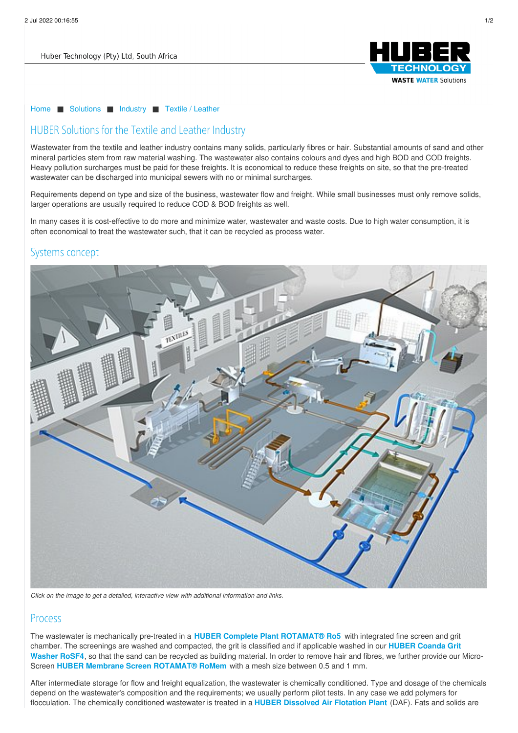

#### [Home](/) ■ [Solutions](/solutions.html) ■ [Industry](/solutions/industry.html) ■ Textile / [Leather](/solutions/industry/textile-leather.html)

## HUBER Solutions for the Textile and Leather Industry

Wastewater from the textile and leather industry contains many solids, particularly fibres or hair. Substantial amounts of sand and other mineral particles stem from raw material washing. The wastewater also contains colours and dyes and high BOD and COD freights. Heavy pollution surcharges must be paid for these freights. It is economical to reduce these freights on site, so that the pre-treated wastewater can be discharged into municipal sewers with no or minimal surcharges.

Requirements depend on type and size of the business, wastewater flow and freight. While small businesses must only remove solids, larger operations are usually required to reduce COD & BOD freights as well.

In many cases it is cost-effective to do more and minimize water, wastewater and waste costs. Due to high water consumption, it is often economical to treat the wastewater such, that it can be recycled as process water.

#### Systems concept



*Click on the image to get a detailed, interactive view with additional information and links.*

### **Process**

The wastewater is mechanically pre-treated in a **HUBER Complete Plant [ROTAMAT®](http://www.hubersa.com/products/screens-and-fine-screens/rotamatr-screens/huber-complete-plant-rotamatr-ro5.html) Ro5** with integrated fine screen and grit chamber. The screenings are washed and [compacted,](http://www.hubersa.com/products/grit-separation-and-treatment/grit-washing-plants/huber-coanda-grit-washing-plant-rosf4.html) the grit is classified and if applicable washed in our **HUBER Coanda Grit Washer RoSF4**, so that the sand can be recycled as building material. In order to remove hair and fibres, we further provide our Micro-Screen **HUBER Membrane Screen [ROTAMAT®](products/screens-and-fine-screens/rotamatr-screens/huber-membrane-screen-rotamatr-romem.html) RoMem** with a mesh size between 0.5 and 1 mm.

After intermediate storage for flow and freight equalization, the wastewater is chemically conditioned. Type and dosage of the chemicals depend on the wastewater's composition and the requirements; we usually perform pilot tests. In any case we add polymers for flocculation. The chemically conditioned wastewater is treated in a **HUBER [Dissolved](http://www.hubersa.com/products/flotation/dissolved-air-flotation.html) Air Flotation Plant** (DAF). Fats and solids are